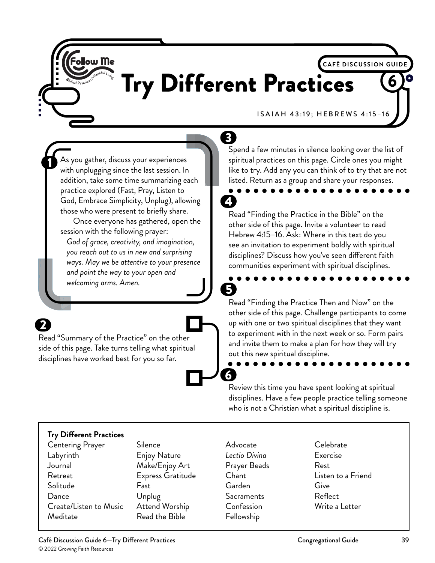## **CAFÉ DISCUSSION GUIDE** Try Different Practices <sup>6</sup>

4

6

ISAIAH 43:19; HEBREWS 4:15–16

As you gather, discuss your experiences with unplugging since the last session. In addition, take some time summarizing each practice explored (Fast, Pray, Listen to God, Embrace Simplicity, Unplug), allowing those who were present to briefly share.

**Follow Me** 

Once everyone has gathered, open the session with the following prayer: *God of grace, creativity, and imagination, you reach out to us in new and surprising ways. May we be attentive to your presence and point the way to your open and welcoming arms. Amen.*

Read "Summary of the Practice" on the other side of this page. Take turns telling what spiritual disciplines have worked best for you so far.

 $\mathbf{3}$ Spend a few minutes in silence looking over the list of spiritual practices on this page. Circle ones you might like to try. Add any you can think of to try that are not listed. Return as a group and share your responses.

#### Read "Finding the Practice in the Bible" on the other side of this page. Invite a volunteer to read Hebrew 4:15–16. Ask: Where in this text do you see an invitation to experiment boldly with spiritual disciplines? Discuss how you've seen different faith communities experiment with spiritual disciplines.

5 Read "Finding the Practice Then and Now" on the other side of this page. Challenge participants to come up with one or two spiritual disciplines that they want to experiment with in the next week or so. Form pairs and invite them to make a plan for how they will try out this new spiritual discipline.

Review this time you have spent looking at spiritual disciplines. Have a few people practice telling someone who is not a Christian what a spiritual discipline is.

#### **Try Different Practices**

- Centering Prayer Labyrinth Journal Retreat Solitude **Dance** Create/Listen to Music Meditate
- **Silence** Enjoy Nature Make/Enjoy Art Express Gratitude Fast Unplug Attend Worship Read the Bible
- Advocate *Lectio Divina* Prayer Beads Chant Garden **Sacraments** Confession Fellowship
- Celebrate Exercise Rest Listen to a Friend Give Reflect Write a Letter